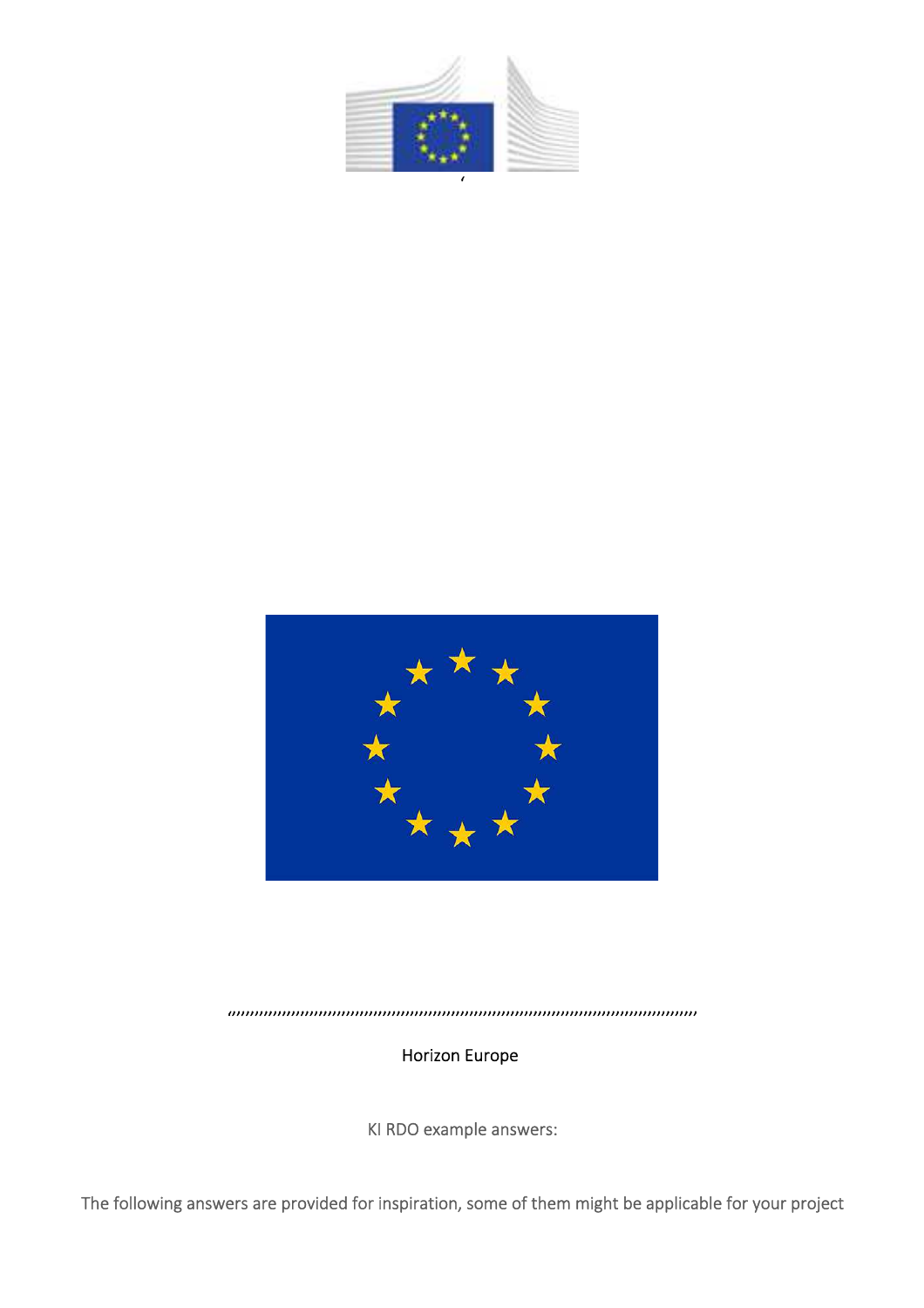



'''''''''''''''''''''''''''''''''''''''''''''''''''''''''''''''''''''''''''''''''''''''''''''''''''''''

Horizon Europe

KI RDO example answers:

The following answers are provided for inspiration, some of them might be applicable for your project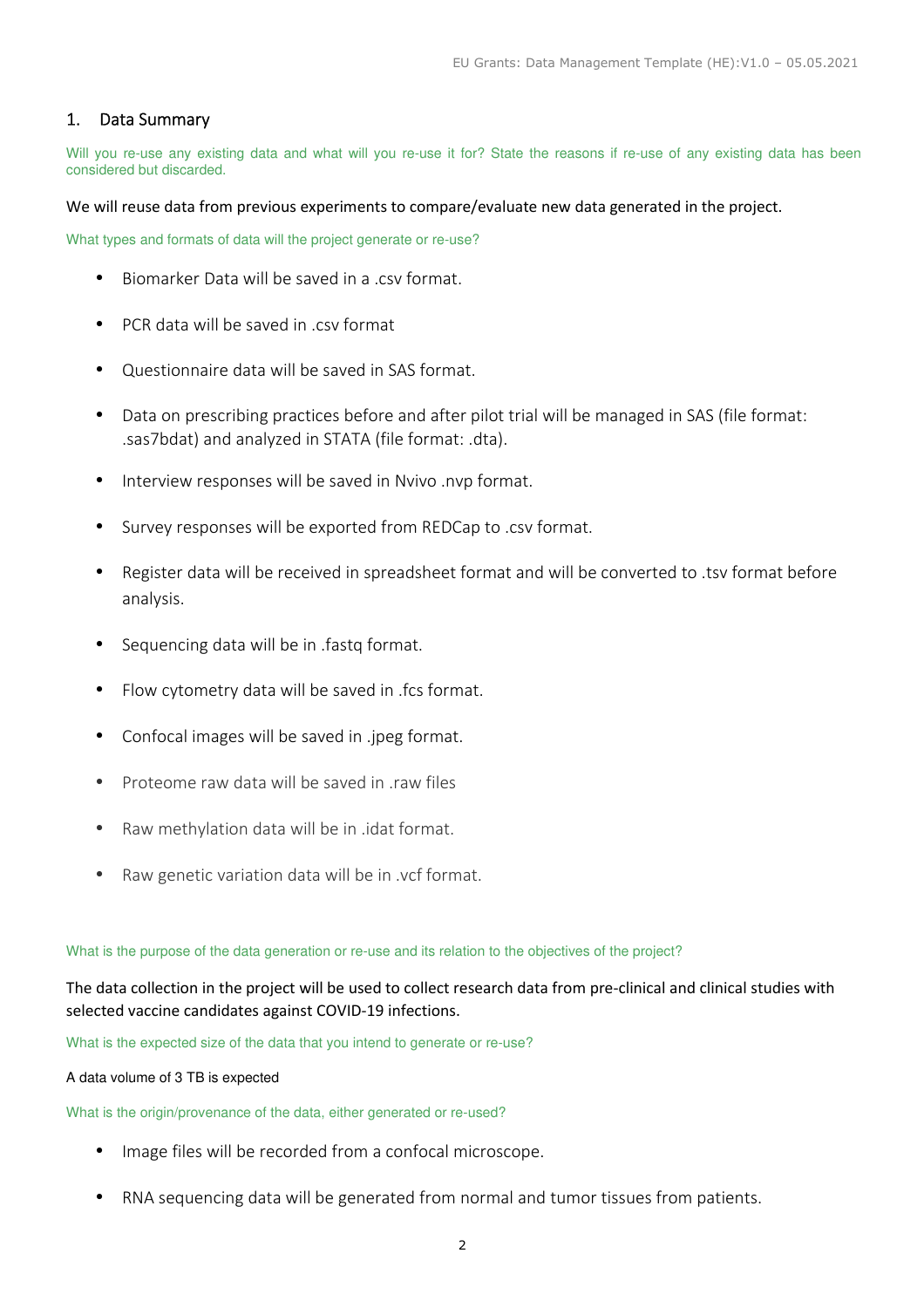# 1. Data Summary

Will you re-use any existing data and what will you re-use it for? State the reasons if re-use of any existing data has been considered but discarded.

We will reuse data from previous experiments to compare/evaluate new data generated in the project.

What types and formats of data will the project generate or re-use?

- Biomarker Data will be saved in a .csv format.
- PCR data will be saved in csy format
- Questionnaire data will be saved in SAS format.
- Data on prescribing practices before and after pilot trial will be managed in SAS (file format: .sas7bdat) and analyzed in STATA (file format: .dta).
- Interview responses will be saved in Nvivo .nvp format.
- Survey responses will be exported from REDCap to .csv format.
- Register data will be received in spreadsheet format and will be converted to .tsv format before analysis.
- Sequencing data will be in .fastq format.
- Flow cytometry data will be saved in .fcs format.
- Confocal images will be saved in .jpeg format.
- Proteome raw data will be saved in raw files
- Raw methylation data will be in .idat format.
- Raw genetic variation data will be in .vcf format.

What is the purpose of the data generation or re-use and its relation to the objectives of the project?

The data collection in the project will be used to collect research data from pre-clinical and clinical studies with selected vaccine candidates against COVID-19 infections.

What is the expected size of the data that you intend to generate or re-use?

A data volume of 3 TB is expected

What is the origin/provenance of the data, either generated or re-used?

- Image files will be recorded from a confocal microscope.
- RNA sequencing data will be generated from normal and tumor tissues from patients.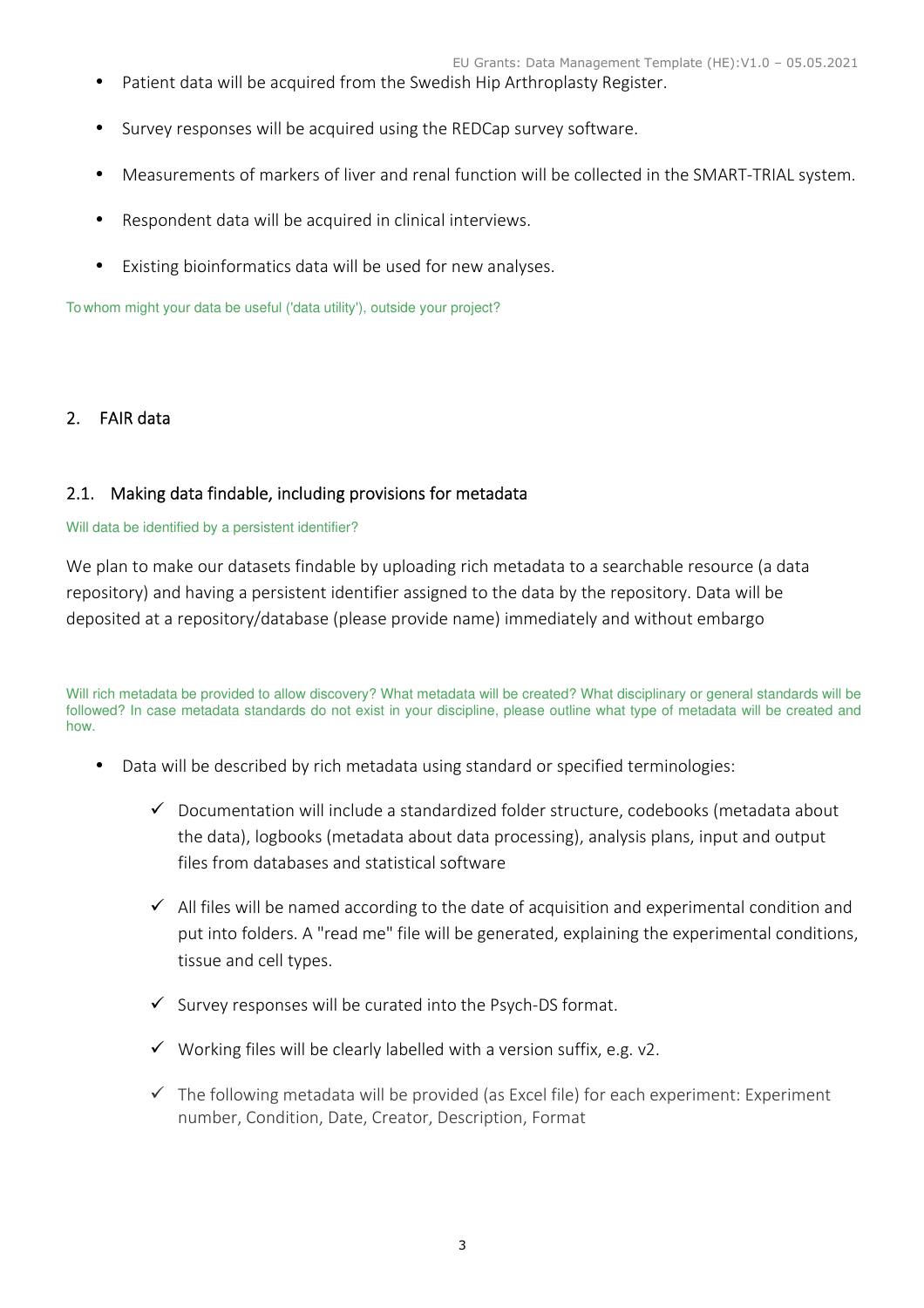- Patient data will be acquired from the Swedish Hip Arthroplasty Register.
- Survey responses will be acquired using the REDCap survey software.
- Measurements of markers of liver and renal function will be collected in the SMART-TRIAL system.
- Respondent data will be acquired in clinical interviews.
- Existing bioinformatics data will be used for new analyses.

To whom might your data be useful ('data utility'), outside your project?

# 2. FAIR data

# 2.1. Making data findable, including provisions for metadata

## Will data be identified by a persistent identifier?

We plan to make our datasets findable by uploading rich metadata to a searchable resource (a data repository) and having a persistent identifier assigned to the data by the repository. Data will be deposited at a repository/database (please provide name) immediately and without embargo

Will rich metadata be provided to allow discovery? What metadata will be created? What disciplinary or general standards will be followed? In case metadata standards do not exist in your discipline, please outline what type of metadata will be created and how.

- Data will be described by rich metadata using standard or specified terminologies:
	- $\checkmark$  Documentation will include a standardized folder structure, codebooks (metadata about the data), logbooks (metadata about data processing), analysis plans, input and output files from databases and statistical software
	- $\checkmark$  All files will be named according to the date of acquisition and experimental condition and put into folders. A "read me" file will be generated, explaining the experimental conditions, tissue and cell types.
	- $\checkmark$  Survey responses will be curated into the Psych-DS format.
	- $\checkmark$  Working files will be clearly labelled with a version suffix, e.g. v2.
	- $\checkmark$  The following metadata will be provided (as Excel file) for each experiment: Experiment number, Condition, Date, Creator, Description, Format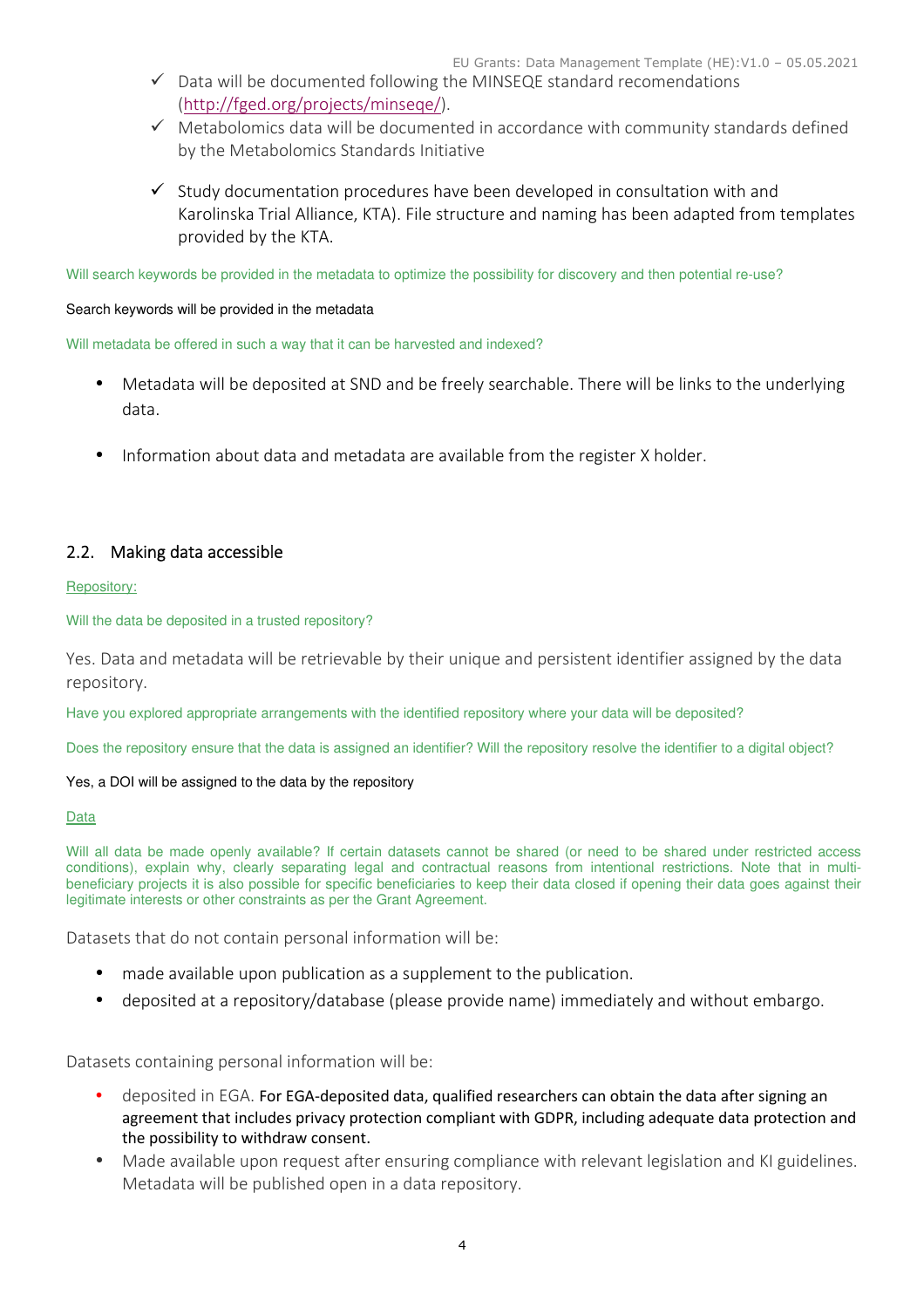- $\checkmark$  Data will be documented following the MINSEQE standard recomendations (http://fged.org/projects/minseqe/).
- $\checkmark$  Metabolomics data will be documented in accordance with community standards defined by the Metabolomics Standards Initiative
- $\checkmark$  Study documentation procedures have been developed in consultation with and Karolinska Trial Alliance, KTA). File structure and naming has been adapted from templates provided by the KTA.

Will search keywords be provided in the metadata to optimize the possibility for discovery and then potential re-use?

### Search keywords will be provided in the metadata

Will metadata be offered in such a way that it can be harvested and indexed?

- Metadata will be deposited at SND and be freely searchable. There will be links to the underlying data.
- Information about data and metadata are available from the register X holder.

# 2.2. Making data accessible

### Repository:

Will the data be deposited in a trusted repository?

Yes. Data and metadata will be retrievable by their unique and persistent identifier assigned by the data repository.

Have you explored appropriate arrangements with the identified repository where your data will be deposited?

Does the repository ensure that the data is assigned an identifier? Will the repository resolve the identifier to a digital object?

### Yes, a DOI will be assigned to the data by the repository

### **Data**

Will all data be made openly available? If certain datasets cannot be shared (or need to be shared under restricted access conditions), explain why, clearly separating legal and contractual reasons from intentional restrictions. Note that in multibeneficiary projects it is also possible for specific beneficiaries to keep their data closed if opening their data goes against their legitimate interests or other constraints as per the Grant Agreement.

Datasets that do not contain personal information will be:

- made available upon publication as a supplement to the publication.
- deposited at a repository/database (please provide name) immediately and without embargo.

Datasets containing personal information will be:

- deposited in EGA. For EGA-deposited data, qualified researchers can obtain the data after signing an agreement that includes privacy protection compliant with GDPR, including adequate data protection and the possibility to withdraw consent.
- Made available upon request after ensuring compliance with relevant legislation and KI guidelines. Metadata will be published open in a data repository.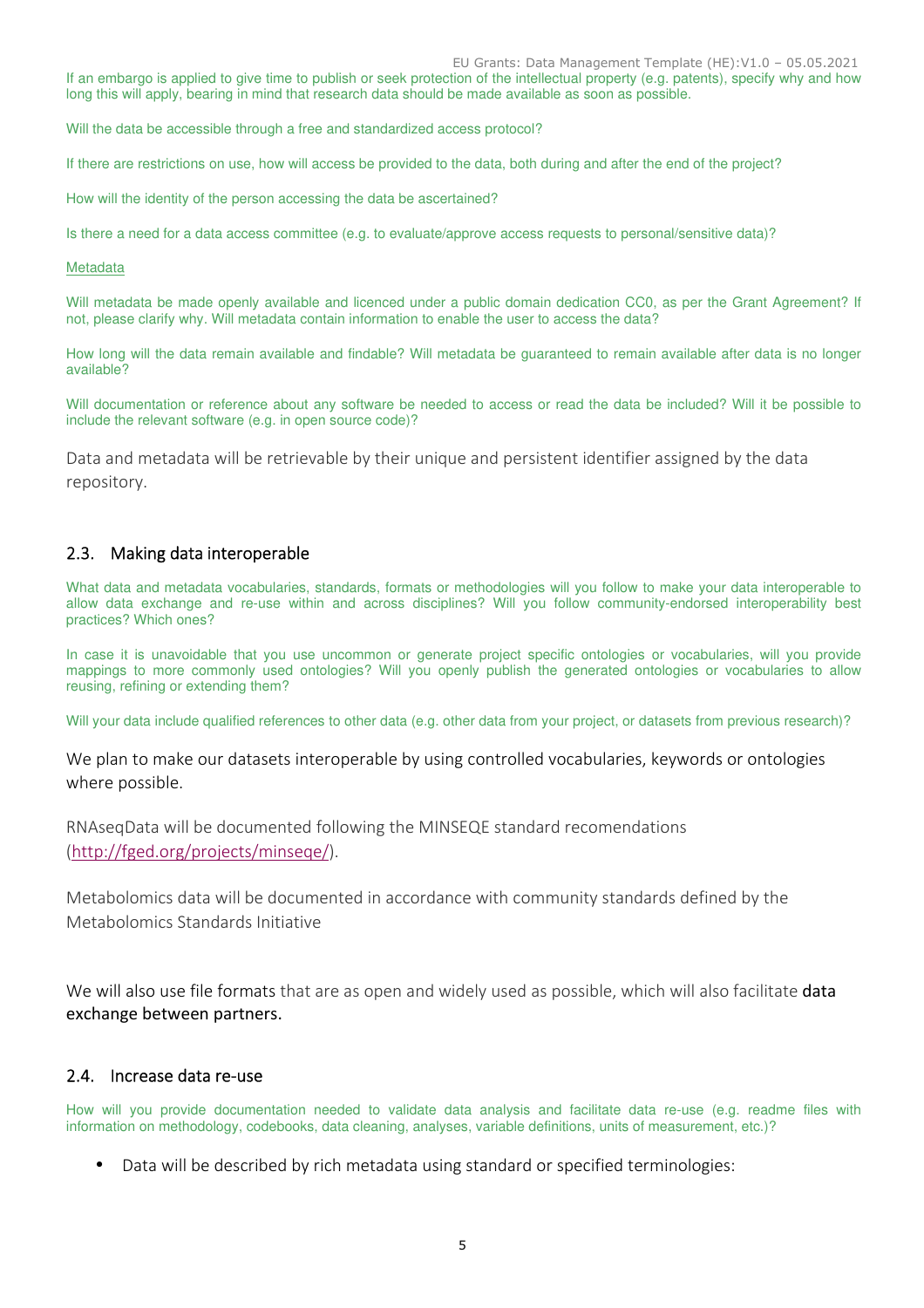EU Grants: Data Management Template (HE):V1.0 – 05.05.2021

If an embargo is applied to give time to publish or seek protection of the intellectual property (e.g. patents), specify why and how long this will apply, bearing in mind that research data should be made available as soon as possible.

Will the data be accessible through a free and standardized access protocol?

If there are restrictions on use, how will access be provided to the data, both during and after the end of the project?

How will the identity of the person accessing the data be ascertained?

Is there a need for a data access committee (e.g. to evaluate/approve access requests to personal/sensitive data)?

#### Metadata

Will metadata be made openly available and licenced under a public domain dedication CC0, as per the Grant Agreement? If not, please clarify why. Will metadata contain information to enable the user to access the data?

How long will the data remain available and findable? Will metadata be guaranteed to remain available after data is no longer available?

Will documentation or reference about any software be needed to access or read the data be included? Will it be possible to include the relevant software (e.g. in open source code)?

Data and metadata will be retrievable by their unique and persistent identifier assigned by the data repository.

# 2.3. Making data interoperable

What data and metadata vocabularies, standards, formats or methodologies will you follow to make your data interoperable to allow data exchange and re-use within and across disciplines? Will you follow community-endorsed interoperability best practices? Which ones?

In case it is unavoidable that you use uncommon or generate project specific ontologies or vocabularies, will you provide mappings to more commonly used ontologies? Will you openly publish the generated ontologies or vocabularies to allow reusing, refining or extending them?

Will your data include qualified references to other data (e.g. other data from your project, or datasets from previous research)?

We plan to make our datasets interoperable by using controlled vocabularies, keywords or ontologies where possible.

RNAseqData will be documented following the MINSEQE standard recomendations (http://fged.org/projects/minseqe/).

Metabolomics data will be documented in accordance with community standards defined by the Metabolomics Standards Initiative

We will also use file formats that are as open and widely used as possible, which will also facilitate data exchange between partners.

### 2.4. Increase data re-use

How will you provide documentation needed to validate data analysis and facilitate data re-use (e.g. readme files with information on methodology, codebooks, data cleaning, analyses, variable definitions, units of measurement, etc.)?

• Data will be described by rich metadata using standard or specified terminologies: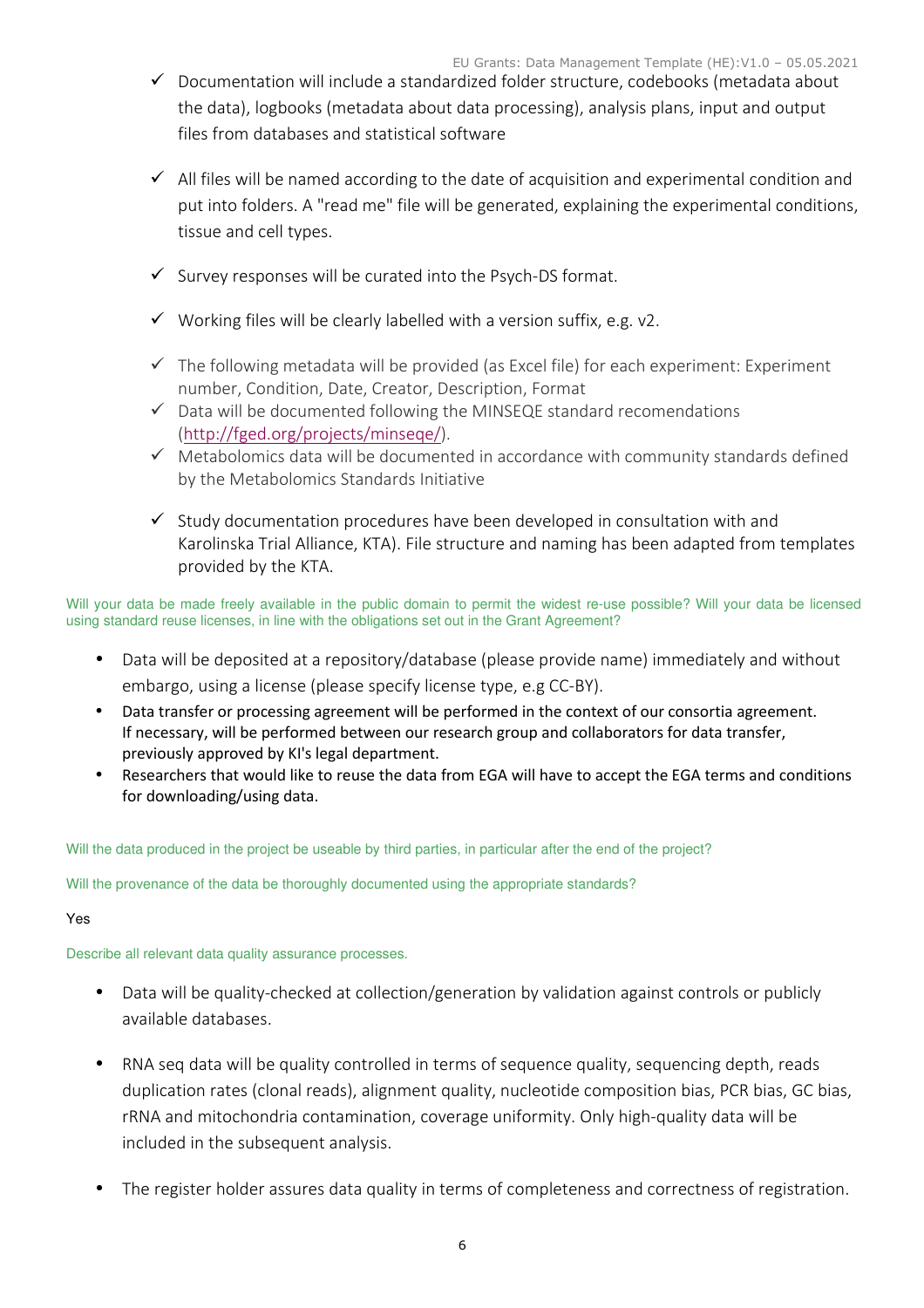- $\checkmark$  Documentation will include a standardized folder structure, codebooks (metadata about the data), logbooks (metadata about data processing), analysis plans, input and output files from databases and statistical software
- $\checkmark$  All files will be named according to the date of acquisition and experimental condition and put into folders. A "read me" file will be generated, explaining the experimental conditions, tissue and cell types.
- $\checkmark$  Survey responses will be curated into the Psych-DS format.
- $\checkmark$  Working files will be clearly labelled with a version suffix, e.g. v2.
- $\checkmark$  The following metadata will be provided (as Excel file) for each experiment: Experiment number, Condition, Date, Creator, Description, Format
- $\checkmark$  Data will be documented following the MINSEQE standard recomendations (http://fged.org/projects/minseqe/).
- $\checkmark$  Metabolomics data will be documented in accordance with community standards defined by the Metabolomics Standards Initiative
- $\checkmark$  Study documentation procedures have been developed in consultation with and Karolinska Trial Alliance, KTA). File structure and naming has been adapted from templates provided by the KTA.

Will your data be made freely available in the public domain to permit the widest re-use possible? Will your data be licensed using standard reuse licenses, in line with the obligations set out in the Grant Agreement?

- Data will be deposited at a repository/database (please provide name) immediately and without embargo, using a license (please specify license type, e.g CC-BY).
- Data transfer or processing agreement will be performed in the context of our consortia agreement. If necessary, will be performed between our research group and collaborators for data transfer, previously approved by KI's legal department.
- Researchers that would like to reuse the data from EGA will have to accept the EGA terms and conditions for downloading/using data.

Will the data produced in the project be useable by third parties, in particular after the end of the project?

Will the provenance of the data be thoroughly documented using the appropriate standards?

## Yes

Describe all relevant data quality assurance processes.

- Data will be quality-checked at collection/generation by validation against controls or publicly available databases.
- RNA seq data will be quality controlled in terms of sequence quality, sequencing depth, reads duplication rates (clonal reads), alignment quality, nucleotide composition bias, PCR bias, GC bias, rRNA and mitochondria contamination, coverage uniformity. Only high-quality data will be included in the subsequent analysis.
- The register holder assures data quality in terms of completeness and correctness of registration.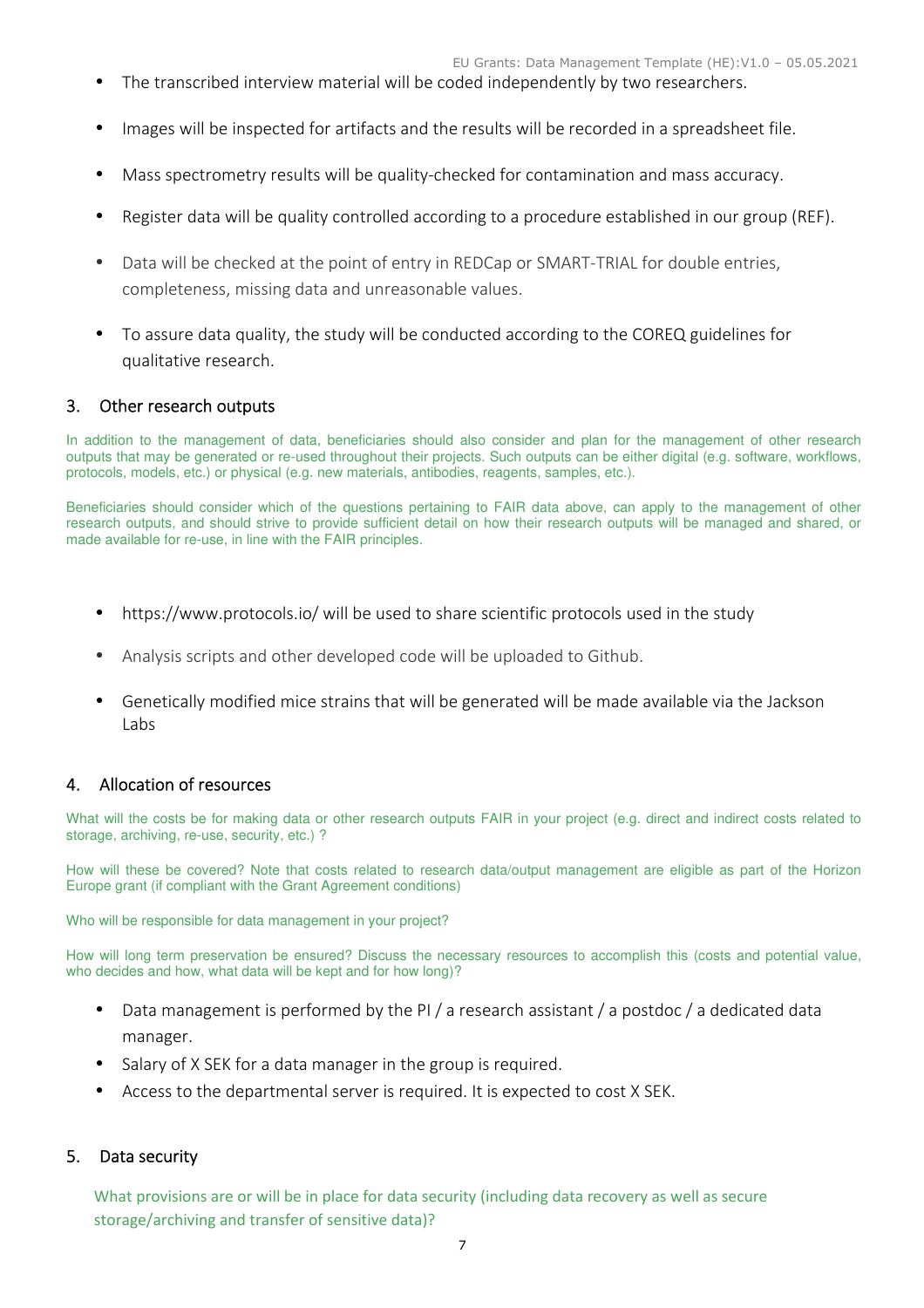- The transcribed interview material will be coded independently by two researchers.
- Images will be inspected for artifacts and the results will be recorded in a spreadsheet file.
- Mass spectrometry results will be quality-checked for contamination and mass accuracy.
- Register data will be quality controlled according to a procedure established in our group (REF).
- Data will be checked at the point of entry in REDCap or SMART-TRIAL for double entries, completeness, missing data and unreasonable values.
- To assure data quality, the study will be conducted according to the COREQ guidelines for qualitative research.

## 3. Other research outputs

In addition to the management of data, beneficiaries should also consider and plan for the management of other research outputs that may be generated or re-used throughout their projects. Such outputs can be either digital (e.g. software, workflows, protocols, models, etc.) or physical (e.g. new materials, antibodies, reagents, samples, etc.).

Beneficiaries should consider which of the questions pertaining to FAIR data above, can apply to the management of other research outputs, and should strive to provide sufficient detail on how their research outputs will be managed and shared, or made available for re-use, in line with the FAIR principles.

- https://www.protocols.io/ will be used to share scientific protocols used in the study
- Analysis scripts and other developed code will be uploaded to Github.
- Genetically modified mice strains that will be generated will be made available via the Jackson Labs

# 4. Allocation of resources

What will the costs be for making data or other research outputs FAIR in your project (e.g. direct and indirect costs related to storage, archiving, re-use, security, etc.) ?

How will these be covered? Note that costs related to research data/output management are eligible as part of the Horizon Europe grant (if compliant with the Grant Agreement conditions)

Who will be responsible for data management in your project?

How will long term preservation be ensured? Discuss the necessary resources to accomplish this (costs and potential value, who decides and how, what data will be kept and for how long)?

- Data management is performed by the PI / a research assistant / a postdoc / a dedicated data manager.
- Salary of X SEK for a data manager in the group is required.
- Access to the departmental server is required. It is expected to cost X SEK.

## 5. Data security

What provisions are or will be in place for data security (including data recovery as well as secure storage/archiving and transfer of sensitive data)?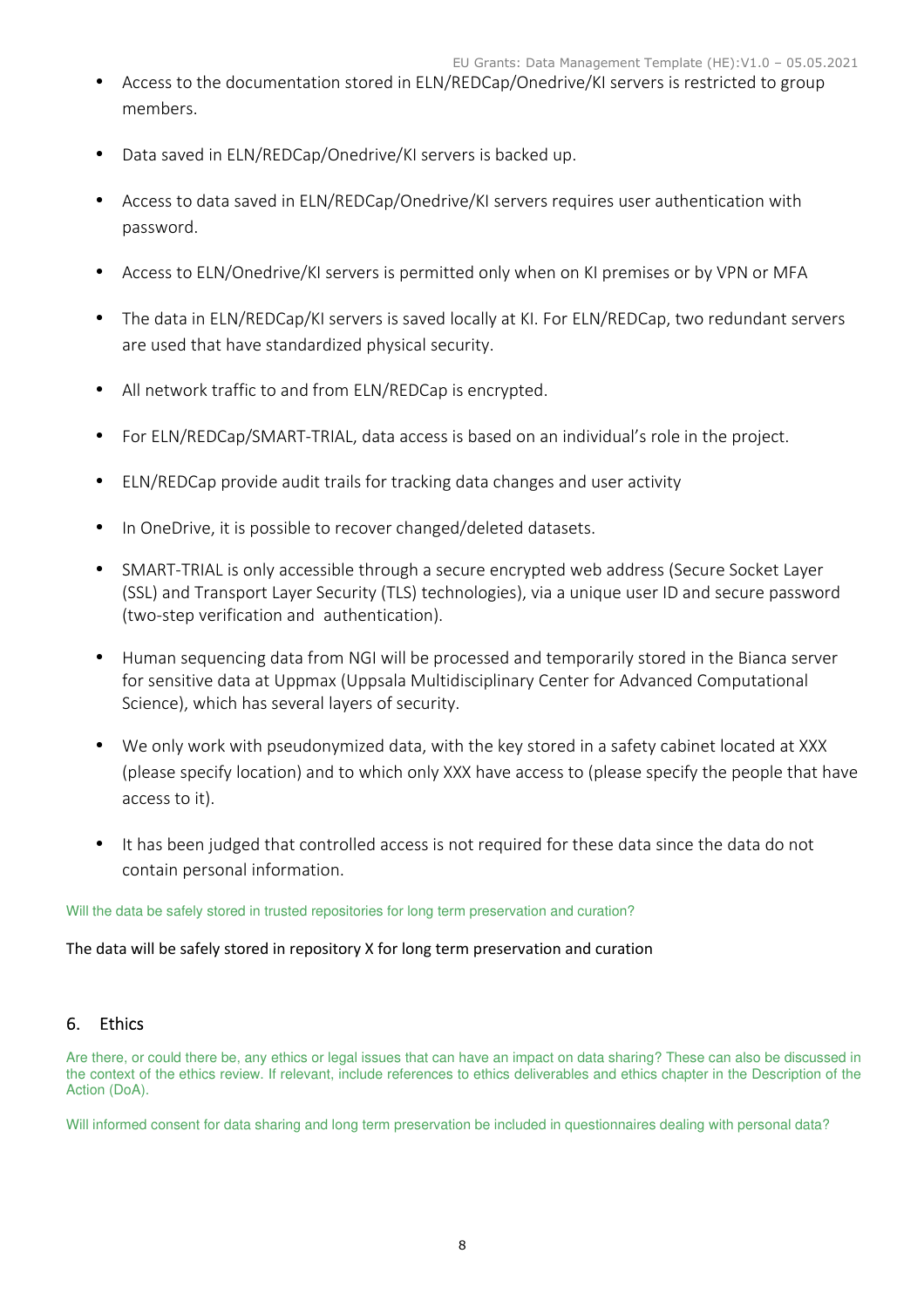- Access to the documentation stored in ELN/REDCap/Onedrive/KI servers is restricted to group members.
- Data saved in ELN/REDCap/Onedrive/KI servers is backed up.
- Access to data saved in ELN/REDCap/Onedrive/KI servers requires user authentication with password.
- Access to ELN/Onedrive/KI servers is permitted only when on KI premises or by VPN or MFA
- The data in ELN/REDCap/KI servers is saved locally at KI. For ELN/REDCap, two redundant servers are used that have standardized physical security.
- All network traffic to and from ELN/REDCap is encrypted.
- For ELN/REDCap/SMART-TRIAL, data access is based on an individual's role in the project.
- ELN/REDCap provide audit trails for tracking data changes and user activity
- In OneDrive, it is possible to recover changed/deleted datasets.
- SMART-TRIAL is only accessible through a secure encrypted web address (Secure Socket Layer (SSL) and Transport Layer Security (TLS) technologies), via a unique user ID and secure password (two-step verification and authentication).
- Human sequencing data from NGI will be processed and temporarily stored in the Bianca server for sensitive data at Uppmax (Uppsala Multidisciplinary Center for Advanced Computational Science), which has several layers of security.
- We only work with pseudonymized data, with the key stored in a safety cabinet located at XXX (please specify location) and to which only XXX have access to (please specify the people that have access to it).
- It has been judged that controlled access is not required for these data since the data do not contain personal information.

Will the data be safely stored in trusted repositories for long term preservation and curation?

## The data will be safely stored in repository X for long term preservation and curation

# 6. Ethics

Are there, or could there be, any ethics or legal issues that can have an impact on data sharing? These can also be discussed in the context of the ethics review. If relevant, include references to ethics deliverables and ethics chapter in the Description of the Action (DoA).

Will informed consent for data sharing and long term preservation be included in questionnaires dealing with personal data?